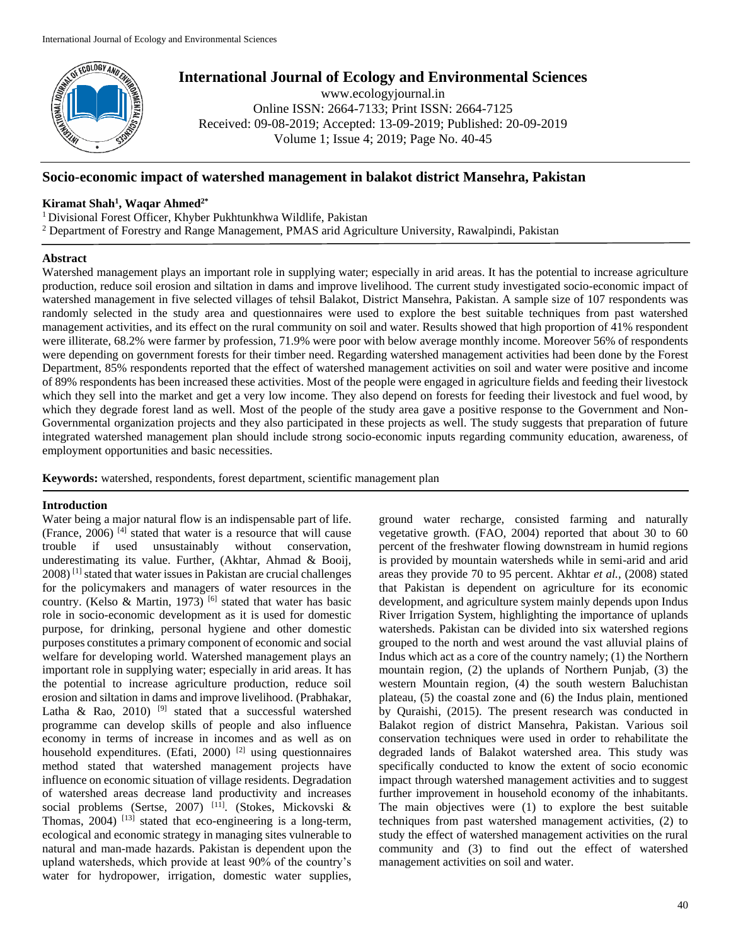

# **International Journal of Ecology and Environmental Sciences**

www.ecologyjournal.in Online ISSN: 2664-7133; Print ISSN: 2664-7125 Received: 09-08-2019; Accepted: 13-09-2019; Published: 20-09-2019 Volume 1; Issue 4; 2019; Page No. 40-45

# **Socio-economic impact of watershed management in balakot district Mansehra, Pakistan**

# **Kiramat Shah<sup>1</sup> , Waqar Ahmed2\***

<sup>1</sup>Divisional Forest Officer, Khyber Pukhtunkhwa Wildlife, Pakistan

<sup>2</sup> Department of Forestry and Range Management, PMAS arid Agriculture University, Rawalpindi, Pakistan

# **Abstract**

Watershed management plays an important role in supplying water; especially in arid areas. It has the potential to increase agriculture production, reduce soil erosion and siltation in dams and improve livelihood. The current study investigated socio-economic impact of watershed management in five selected villages of tehsil Balakot, District Mansehra, Pakistan. A sample size of 107 respondents was randomly selected in the study area and questionnaires were used to explore the best suitable techniques from past watershed management activities, and its effect on the rural community on soil and water. Results showed that high proportion of 41% respondent were illiterate, 68.2% were farmer by profession, 71.9% were poor with below average monthly income. Moreover 56% of respondents were depending on government forests for their timber need. Regarding watershed management activities had been done by the Forest Department, 85% respondents reported that the effect of watershed management activities on soil and water were positive and income of 89% respondents has been increased these activities. Most of the people were engaged in agriculture fields and feeding their livestock which they sell into the market and get a very low income. They also depend on forests for feeding their livestock and fuel wood, by which they degrade forest land as well. Most of the people of the study area gave a positive response to the Government and Non-Governmental organization projects and they also participated in these projects as well. The study suggests that preparation of future integrated watershed management plan should include strong socio-economic inputs regarding community education, awareness, of employment opportunities and basic necessities.

**Keywords:** watershed, respondents, forest department, scientific management plan

# **Introduction**

Water being a major natural flow is an indispensable part of life. (France, 2006) [4] stated that water is a resource that will cause trouble if used unsustainably without conservation, underestimating its value. Further, (Akhtar, Ahmad & Booij, 2008) [1] stated that water issues in Pakistan are crucial challenges for the policymakers and managers of water resources in the country. (Kelso & Martin, 1973)<sup>[6]</sup> stated that water has basic role in socio-economic development as it is used for domestic purpose, for drinking, personal hygiene and other domestic purposes constitutes a primary component of economic and social welfare for developing world. Watershed management plays an important role in supplying water; especially in arid areas. It has the potential to increase agriculture production, reduce soil erosion and siltation in dams and improve livelihood. (Prabhakar, Latha & Rao, 2010) <sup>[9]</sup> stated that a successful watershed programme can develop skills of people and also influence economy in terms of increase in incomes and as well as on household expenditures. (Efati, 2000)  $[2]$  using questionnaires method stated that watershed management projects have influence on economic situation of village residents. Degradation of watershed areas decrease land productivity and increases social problems (Sertse, 2007) [11]. (Stokes, Mickovski & Thomas,  $2004$ )  $^{[13]}$  stated that eco-engineering is a long-term, ecological and economic strategy in managing sites vulnerable to natural and man-made hazards. Pakistan is dependent upon the upland watersheds, which provide at least 90% of the country's water for hydropower, irrigation, domestic water supplies,

ground water recharge, consisted farming and naturally vegetative growth. (FAO, 2004) reported that about 30 to 60 percent of the freshwater flowing downstream in humid regions is provided by mountain watersheds while in semi-arid and arid areas they provide 70 to 95 percent. Akhtar *et al.,* (2008) stated that Pakistan is dependent on agriculture for its economic development, and agriculture system mainly depends upon Indus River Irrigation System, highlighting the importance of uplands watersheds. Pakistan can be divided into six watershed regions grouped to the north and west around the vast alluvial plains of Indus which act as a core of the country namely; (1) the Northern mountain region, (2) the uplands of Northern Punjab, (3) the western Mountain region, (4) the south western Baluchistan plateau, (5) the coastal zone and (6) the Indus plain, mentioned by Quraishi, (2015). The present research was conducted in Balakot region of district Mansehra, Pakistan. Various soil conservation techniques were used in order to rehabilitate the degraded lands of Balakot watershed area. This study was specifically conducted to know the extent of socio economic impact through watershed management activities and to suggest further improvement in household economy of the inhabitants. The main objectives were (1) to explore the best suitable techniques from past watershed management activities, (2) to study the effect of watershed management activities on the rural community and (3) to find out the effect of watershed management activities on soil and water.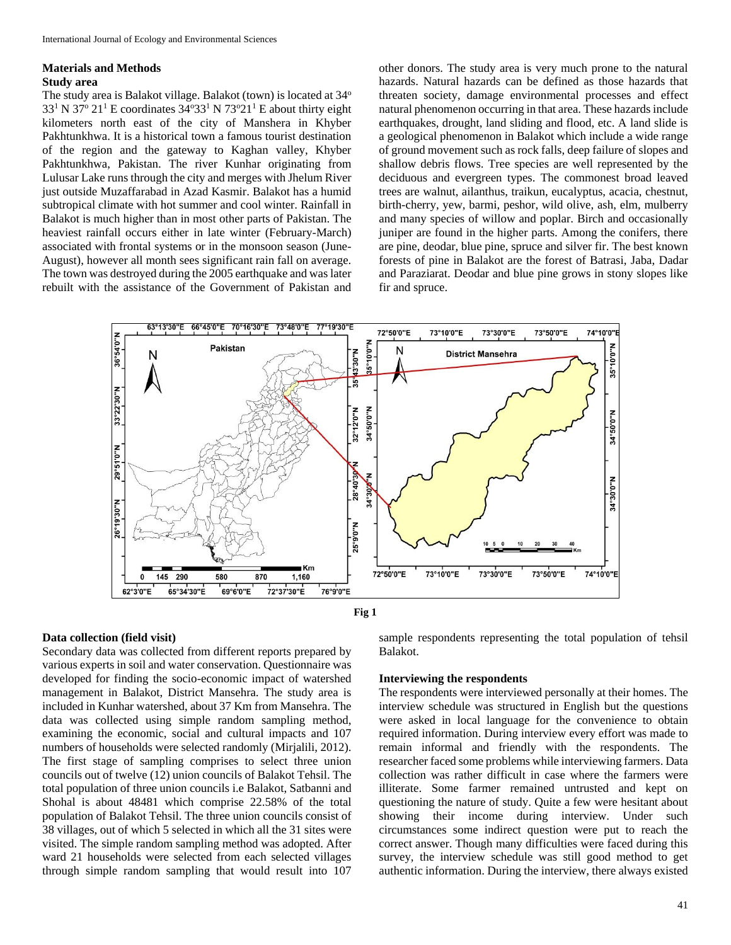# **Materials and Methods Study area**

The study area is Balakot village. Balakot (town) is located at  $34^{\circ}$  $33<sup>1</sup>$  N  $37<sup>o</sup>$  21<sup>1</sup> E coordinates  $34<sup>o</sup>33<sup>1</sup>$  N  $73<sup>o</sup>21<sup>1</sup>$  E about thirty eight kilometers north east of the city of Manshera in Khyber Pakhtunkhwa. It is a historical town a famous tourist destination of the region and the gateway to Kaghan valley, Khyber Pakhtunkhwa, Pakistan. The river Kunhar originating from Lulusar Lake runs through the city and merges with Jhelum River just outside Muzaffarabad in Azad Kasmir. Balakot has a humid subtropical climate with hot summer and cool winter. Rainfall in Balakot is much higher than in most other parts of Pakistan. The heaviest rainfall occurs either in late winter (February-March) associated with frontal systems or in the monsoon season (June-August), however all month sees significant rain fall on average. The town was destroyed during the 2005 earthquake and was later rebuilt with the assistance of the Government of Pakistan and

other donors. The study area is very much prone to the natural hazards. Natural hazards can be defined as those hazards that threaten society, damage environmental processes and effect natural phenomenon occurring in that area. These hazards include earthquakes, drought, land sliding and flood, etc. A land slide is a geological phenomenon in Balakot which include a wide range of ground movement such as rock falls, deep failure of slopes and shallow debris flows. Tree species are well represented by the deciduous and evergreen types. The commonest broad leaved trees are walnut, ailanthus, traikun, eucalyptus, acacia, chestnut, birth-cherry, yew, barmi, peshor, wild olive, ash, elm, mulberry and many species of willow and poplar. Birch and occasionally juniper are found in the higher parts. Among the conifers, there are pine, deodar, blue pine, spruce and silver fir. The best known forests of pine in Balakot are the forest of Batrasi, Jaba, Dadar and Paraziarat. Deodar and blue pine grows in stony slopes like fir and spruce.





# **Data collection (field visit)**

Secondary data was collected from different reports prepared by various experts in soil and water conservation. Questionnaire was developed for finding the socio-economic impact of watershed management in Balakot, District Mansehra. The study area is included in Kunhar watershed, about 37 Km from Mansehra. The data was collected using simple random sampling method, examining the economic, social and cultural impacts and 107 numbers of households were selected randomly (Mirjalili, 2012). The first stage of sampling comprises to select three union councils out of twelve (12) union councils of Balakot Tehsil. The total population of three union councils i.e Balakot, Satbanni and Shohal is about 48481 which comprise 22.58% of the total population of Balakot Tehsil. The three union councils consist of 38 villages, out of which 5 selected in which all the 31 sites were visited. The simple random sampling method was adopted. After ward 21 households were selected from each selected villages through simple random sampling that would result into 107

sample respondents representing the total population of tehsil Balakot.

#### **Interviewing the respondents**

The respondents were interviewed personally at their homes. The interview schedule was structured in English but the questions were asked in local language for the convenience to obtain required information. During interview every effort was made to remain informal and friendly with the respondents. The researcher faced some problems while interviewing farmers. Data collection was rather difficult in case where the farmers were illiterate. Some farmer remained untrusted and kept on questioning the nature of study. Quite a few were hesitant about showing their income during interview. Under such circumstances some indirect question were put to reach the correct answer. Though many difficulties were faced during this survey, the interview schedule was still good method to get authentic information. During the interview, there always existed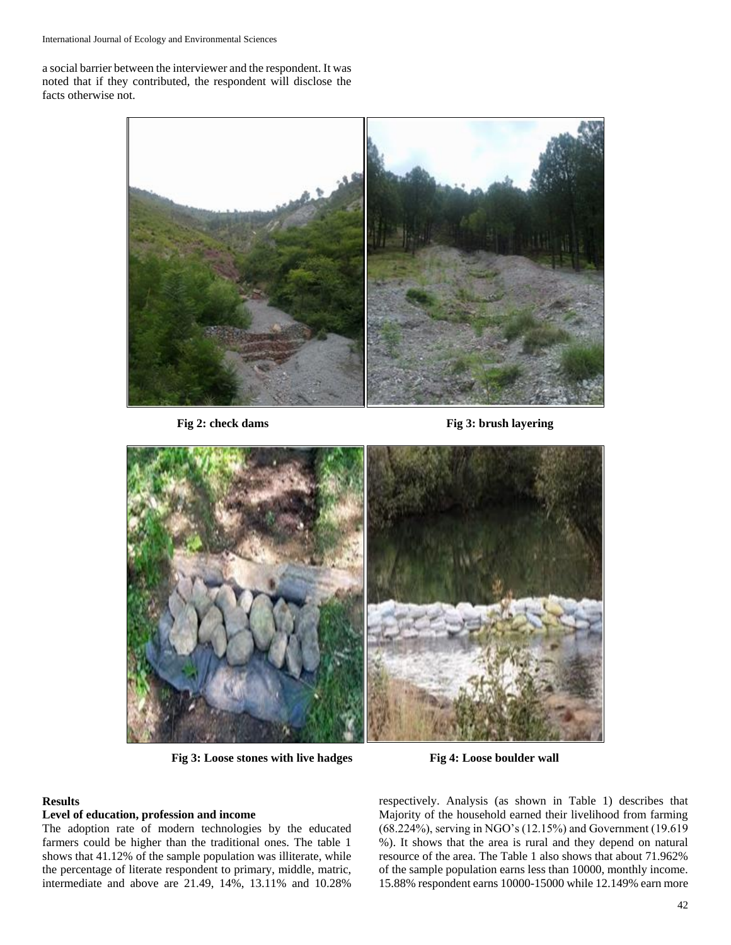a social barrier between the interviewer and the respondent. It was noted that if they contributed, the respondent will disclose the facts otherwise not.



**Fig 2: check dams Fig 3: brush layering**



**Fig 3: Loose stones with live hadges Fig 4: Loose boulder wall**

# **Results**

#### **Level of education, profession and income**

The adoption rate of modern technologies by the educated farmers could be higher than the traditional ones. The table 1 shows that 41.12% of the sample population was illiterate, while the percentage of literate respondent to primary, middle, matric, intermediate and above are 21.49, 14%, 13.11% and 10.28%

respectively. Analysis (as shown in Table 1) describes that Majority of the household earned their livelihood from farming (68.224%), serving in NGO's (12.15%) and Government (19.619 %). It shows that the area is rural and they depend on natural resource of the area. The Table 1 also shows that about 71.962% of the sample population earns less than 10000, monthly income. 15.88% respondent earns 10000-15000 while 12.149% earn more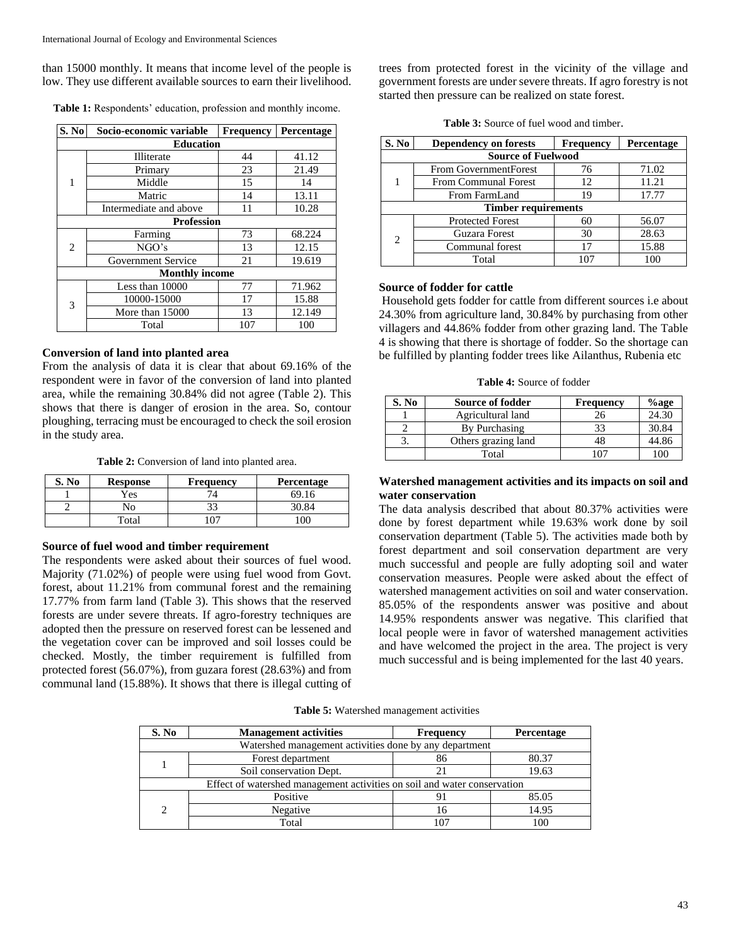than 15000 monthly. It means that income level of the people is low. They use different available sources to earn their livelihood.

| <b>Table 1:</b> Respondents' education, profession and monthly income. |  |  |  |
|------------------------------------------------------------------------|--|--|--|
|------------------------------------------------------------------------|--|--|--|

| S. No | Socio-economic variable | <b>Frequency</b> | Percentage |
|-------|-------------------------|------------------|------------|
|       | <b>Education</b>        |                  |            |
|       | Illiterate              | 44               | 41.12      |
|       | Primary                 | 23               | 21.49      |
| 1     | Middle                  | 15               | 14         |
|       | Matric                  | 14               | 13.11      |
|       | Intermediate and above  | 11               | 10.28      |
|       | <b>Profession</b>       |                  |            |
|       | Farming                 | 73               | 68.224     |
| 2     | NGO's                   | 13               | 12.15      |
|       | Government Service      | 21               | 19.619     |
|       | <b>Monthly income</b>   |                  |            |
|       | Less than 10000         | 77               | 71.962     |
| 3     | 10000-15000             | 17               | 15.88      |
|       | More than 15000         | 13               | 12.149     |
|       | Total                   | 107              | 100        |

# **Conversion of land into planted area**

From the analysis of data it is clear that about 69.16% of the respondent were in favor of the conversion of land into planted area, while the remaining 30.84% did not agree (Table 2). This shows that there is danger of erosion in the area. So, contour ploughing, terracing must be encouraged to check the soil erosion in the study area.

**Table 2:** Conversion of land into planted area.

| S. No | <b>Response</b> | <b>Frequency</b> | Percentage |
|-------|-----------------|------------------|------------|
|       | Yes             |                  | 69         |
|       | No              |                  |            |
|       | Total           |                  | 0C         |

# **Source of fuel wood and timber requirement**

The respondents were asked about their sources of fuel wood. Majority (71.02%) of people were using fuel wood from Govt. forest, about 11.21% from communal forest and the remaining 17.77% from farm land (Table 3). This shows that the reserved forests are under severe threats. If agro-forestry techniques are adopted then the pressure on reserved forest can be lessened and the vegetation cover can be improved and soil losses could be checked. Mostly, the timber requirement is fulfilled from protected forest (56.07%), from guzara forest (28.63%) and from communal land (15.88%). It shows that there is illegal cutting of

trees from protected forest in the vicinity of the village and government forests are under severe threats. If agro forestry is not started then pressure can be realized on state forest.

|  | <b>Table 3:</b> Source of fuel wood and timber. |  |  |
|--|-------------------------------------------------|--|--|
|  |                                                 |  |  |

| S. No                       | <b>Dependency on forests</b> | <b>Frequency</b> | Percentage |  |  |  |  |
|-----------------------------|------------------------------|------------------|------------|--|--|--|--|
|                             | <b>Source of Fuelwood</b>    |                  |            |  |  |  |  |
|                             | From GovernmentForest        | 76               | 71.02      |  |  |  |  |
|                             | <b>From Communal Forest</b>  | 12               | 11.21      |  |  |  |  |
|                             | From FarmLand                | 19               | 17.77      |  |  |  |  |
| <b>Timber requirements</b>  |                              |                  |            |  |  |  |  |
|                             | <b>Protected Forest</b>      | 60               | 56.07      |  |  |  |  |
| $\mathcal{D}_{\mathcal{L}}$ | Guzara Forest                | 30               | 28.63      |  |  |  |  |
|                             | Communal forest              | 17               | 15.88      |  |  |  |  |
|                             | Total                        | 107              | 100        |  |  |  |  |

#### **Source of fodder for cattle**

Household gets fodder for cattle from different sources i.e about 24.30% from agriculture land, 30.84% by purchasing from other villagers and 44.86% fodder from other grazing land. The Table 4 is showing that there is shortage of fodder. So the shortage can be fulfilled by planting fodder trees like Ailanthus, Rubenia etc

|  |  | <b>Table 4:</b> Source of fodder |  |  |
|--|--|----------------------------------|--|--|
|--|--|----------------------------------|--|--|

| S. No | Source of fodder    | <b>Frequency</b> | %age  |
|-------|---------------------|------------------|-------|
|       | Agricultural land   | 26               | 24.30 |
|       | By Purchasing       | 33               | 30.84 |
|       | Others grazing land | 48               | 44.86 |
|       | Total               | $\overline{07}$  | 10C   |

# **Watershed management activities and its impacts on soil and water conservation**

The data analysis described that about 80.37% activities were done by forest department while 19.63% work done by soil conservation department (Table 5). The activities made both by forest department and soil conservation department are very much successful and people are fully adopting soil and water conservation measures. People were asked about the effect of watershed management activities on soil and water conservation. 85.05% of the respondents answer was positive and about 14.95% respondents answer was negative. This clarified that local people were in favor of watershed management activities and have welcomed the project in the area. The project is very much successful and is being implemented for the last 40 years.

**Table 5:** Watershed management activities

| S. No                                                                    | <b>Management activities</b> | <b>Frequency</b> | Percentage |  |  |
|--------------------------------------------------------------------------|------------------------------|------------------|------------|--|--|
| Watershed management activities done by any department                   |                              |                  |            |  |  |
|                                                                          | Forest department            | 86               | 80.37      |  |  |
|                                                                          | Soil conservation Dept.      |                  | 19.63      |  |  |
| Effect of watershed management activities on soil and water conservation |                              |                  |            |  |  |
|                                                                          | Positive                     |                  | 85.05      |  |  |
| $\mathcal{D}_{\mathcal{A}}$                                              | Negative                     | 16               | 14.95      |  |  |
|                                                                          | Total                        | 107              | 100        |  |  |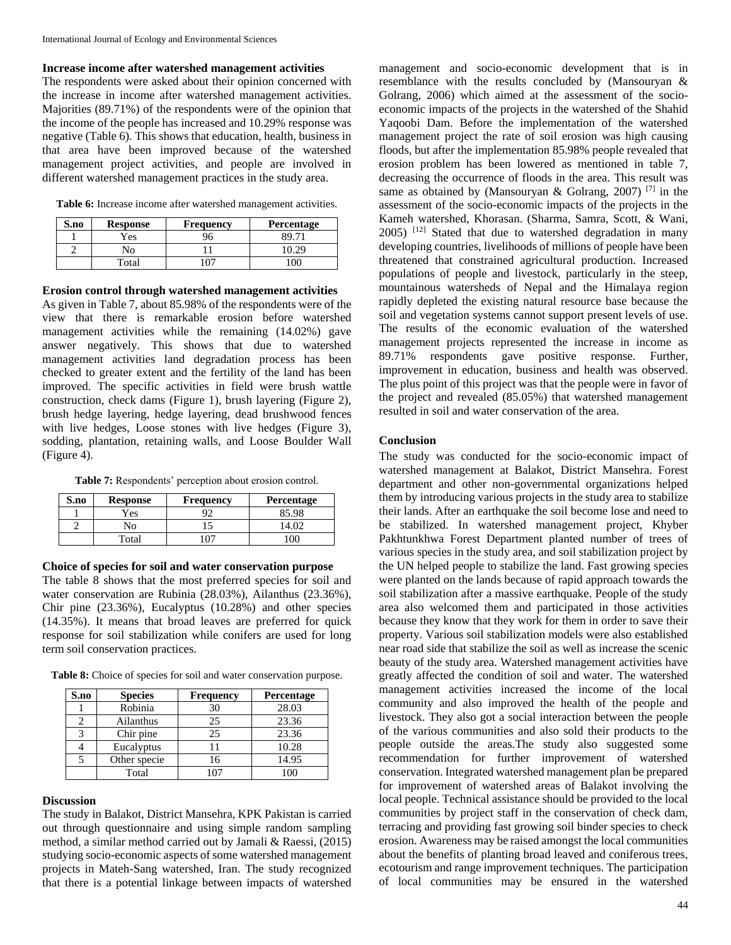### **Increase income after watershed management activities**

The respondents were asked about their opinion concerned with the increase in income after watershed management activities. Majorities (89.71%) of the respondents were of the opinion that the income of the people has increased and 10.29% response was negative (Table 6). This shows that education, health, business in that area have been improved because of the watershed management project activities, and people are involved in different watershed management practices in the study area.

**Table 6:** Increase income after watershed management activities.

| S.no | <b>Response</b> | <b>Frequency</b> | Percentage |
|------|-----------------|------------------|------------|
|      | $v_{\rm es}$    | 96               |            |
|      | NO              |                  |            |
|      | Total           |                  |            |

#### **Erosion control through watershed management activities**

As given in Table 7, about 85.98% of the respondents were of the view that there is remarkable erosion before watershed management activities while the remaining (14.02%) gave answer negatively. This shows that due to watershed management activities land degradation process has been checked to greater extent and the fertility of the land has been improved. The specific activities in field were brush wattle construction, check dams (Figure 1), brush layering (Figure 2), brush hedge layering, hedge layering, dead brushwood fences with live hedges, Loose stones with live hedges (Figure 3), sodding, plantation, retaining walls, and Loose Boulder Wall (Figure 4).

**Table 7:** Respondents' perception about erosion control.

| S.no | <b>Response</b> | <b>Frequency</b> | Percentage |
|------|-----------------|------------------|------------|
|      | Yes             |                  | 85.98      |
|      | No              |                  |            |
|      | Total           |                  | nr         |

#### **Choice of species for soil and water conservation purpose**

The table 8 shows that the most preferred species for soil and water conservation are Rubinia (28.03%), Ailanthus (23.36%), Chir pine (23.36%), Eucalyptus (10.28%) and other species (14.35%). It means that broad leaves are preferred for quick response for soil stabilization while conifers are used for long term soil conservation practices.

**Table 8:** Choice of species for soil and water conservation purpose.

| S.no | <b>Species</b> | <b>Frequency</b> | Percentage |
|------|----------------|------------------|------------|
|      | Robinia        | 30               | 28.03      |
|      | Ailanthus      | 25               | 23.36      |
|      | Chir pine      | 25               | 23.36      |
|      | Eucalyptus     |                  | 10.28      |
|      | Other specie   | 16               | 14.95      |
|      | Total          | 107              | 100        |

#### **Discussion**

The study in Balakot, District Mansehra, KPK Pakistan is carried out through questionnaire and using simple random sampling method, a similar method carried out by Jamali & Raessi, (2015) studying socio-economic aspects of some watershed management projects in Mateh-Sang watershed, Iran. The study recognized that there is a potential linkage between impacts of watershed

management and socio-economic development that is in resemblance with the results concluded by (Mansouryan & Golrang, 2006) which aimed at the assessment of the socioeconomic impacts of the projects in the watershed of the Shahid Yaqoobi Dam. Before the implementation of the watershed management project the rate of soil erosion was high causing floods, but after the implementation 85.98% people revealed that erosion problem has been lowered as mentioned in table 7, decreasing the occurrence of floods in the area. This result was same as obtained by (Mansouryan & Golrang, 2007)<sup>[7]</sup> in the assessment of the socio-economic impacts of the projects in the Kameh watershed, Khorasan. (Sharma, Samra, Scott, & Wani,  $2005$ ) <sup>[12]</sup> Stated that due to watershed degradation in many developing countries, livelihoods of millions of people have been threatened that constrained agricultural production. Increased populations of people and livestock, particularly in the steep, mountainous watersheds of Nepal and the Himalaya region rapidly depleted the existing natural resource base because the soil and vegetation systems cannot support present levels of use. The results of the economic evaluation of the watershed management projects represented the increase in income as 89.71% respondents gave positive response. Further, improvement in education, business and health was observed. The plus point of this project was that the people were in favor of the project and revealed (85.05%) that watershed management resulted in soil and water conservation of the area.

#### **Conclusion**

The study was conducted for the socio-economic impact of watershed management at Balakot, District Mansehra. Forest department and other non-governmental organizations helped them by introducing various projects in the study area to stabilize their lands. After an earthquake the soil become lose and need to be stabilized. In watershed management project, Khyber Pakhtunkhwa Forest Department planted number of trees of various species in the study area, and soil stabilization project by the UN helped people to stabilize the land. Fast growing species were planted on the lands because of rapid approach towards the soil stabilization after a massive earthquake. People of the study area also welcomed them and participated in those activities because they know that they work for them in order to save their property. Various soil stabilization models were also established near road side that stabilize the soil as well as increase the scenic beauty of the study area. Watershed management activities have greatly affected the condition of soil and water. The watershed management activities increased the income of the local community and also improved the health of the people and livestock. They also got a social interaction between the people of the various communities and also sold their products to the people outside the areas.The study also suggested some recommendation for further improvement of watershed conservation. Integrated watershed management plan be prepared for improvement of watershed areas of Balakot involving the local people. Technical assistance should be provided to the local communities by project staff in the conservation of check dam, terracing and providing fast growing soil binder species to check erosion. Awareness may be raised amongst the local communities about the benefits of planting broad leaved and coniferous trees, ecotourism and range improvement techniques. The participation of local communities may be ensured in the watershed